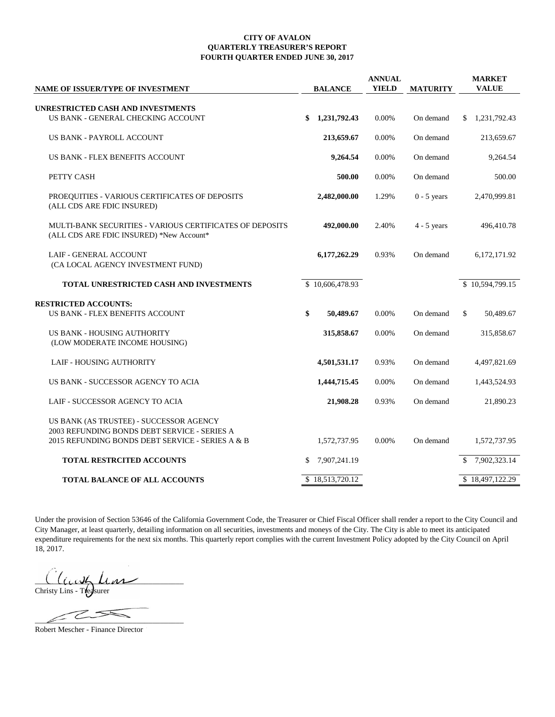## **CITY OF AVALON QUARTERLY TREASURER'S REPORT FOURTH QUARTER ENDED JUNE 30, 2017**

| <b>NAME OF ISSUER/TYPE OF INVESTMENT</b>                                                                                                    | <b>BALANCE</b>     | <b>ANNUAL</b><br><b>YIELD</b> | <b>MATURITY</b> | <b>MARKET</b><br><b>VALUE</b> |
|---------------------------------------------------------------------------------------------------------------------------------------------|--------------------|-------------------------------|-----------------|-------------------------------|
|                                                                                                                                             |                    |                               |                 |                               |
| UNRESTRICTED CASH AND INVESTMENTS<br>US BANK - GENERAL CHECKING ACCOUNT                                                                     | 1,231,792.43<br>\$ | 0.00%                         | On demand       | 1,231,792.43<br>\$            |
| US BANK - PAYROLL ACCOUNT                                                                                                                   | 213,659.67         | 0.00%                         | On demand       | 213,659.67                    |
| US BANK - FLEX BENEFITS ACCOUNT                                                                                                             | 9,264.54           | 0.00%                         | On demand       | 9,264.54                      |
| PETTY CASH                                                                                                                                  | 500.00             | 0.00%                         | On demand       | 500.00                        |
| PROEQUITIES - VARIOUS CERTIFICATES OF DEPOSITS<br>(ALL CDS ARE FDIC INSURED)                                                                | 2,482,000.00       | 1.29%                         | $0 - 5$ years   | 2,470,999.81                  |
| <b>MULTI-BANK SECURITIES - VARIOUS CERTIFICATES OF DEPOSITS</b><br>(ALL CDS ARE FDIC INSURED) *New Account*                                 | 492,000.00         | 2.40%                         | $4 - 5$ years   | 496,410.78                    |
| <b>LAIF - GENERAL ACCOUNT</b><br>(CA LOCAL AGENCY INVESTMENT FUND)                                                                          | 6,177,262.29       | 0.93%                         | On demand       | 6,172,171.92                  |
| TOTAL UNRESTRICTED CASH AND INVESTMENTS                                                                                                     | \$10,606,478.93    |                               |                 | \$10,594,799.15               |
| <b>RESTRICTED ACCOUNTS:</b>                                                                                                                 |                    |                               |                 |                               |
| US BANK - FLEX BENEFITS ACCOUNT                                                                                                             | \$<br>50,489.67    | 0.00%                         | On demand       | \$<br>50,489.67               |
| US BANK - HOUSING AUTHORITY<br>(LOW MODERATE INCOME HOUSING)                                                                                | 315,858.67         | 0.00%                         | On demand       | 315,858.67                    |
| LAIF - HOUSING AUTHORITY                                                                                                                    | 4,501,531.17       | 0.93%                         | On demand       | 4,497,821.69                  |
| US BANK - SUCCESSOR AGENCY TO ACIA                                                                                                          | 1,444,715.45       | 0.00%                         | On demand       | 1,443,524.93                  |
| LAIF - SUCCESSOR AGENCY TO ACIA                                                                                                             | 21,908.28          | 0.93%                         | On demand       | 21,890.23                     |
| US BANK (AS TRUSTEE) - SUCCESSOR AGENCY<br>2003 REFUNDING BONDS DEBT SERVICE - SERIES A<br>2015 REFUNDING BONDS DEBT SERVICE - SERIES A & B | 1,572,737.95       | 0.00%                         | On demand       | 1,572,737.95                  |
| <b>TOTAL RESTRCITED ACCOUNTS</b>                                                                                                            | 7,907,241.19<br>S  |                               |                 | 7,902,323.14                  |
| <b>TOTAL BALANCE OF ALL ACCOUNTS</b>                                                                                                        | \$18,513,720.12    |                               |                 | \$18,497,122.29               |

Under the provision of Section 53646 of the California Government Code, the Treasurer or Chief Fiscal Officer shall render a report to the City Council and City Manager, at least quarterly, detailing information on all securities, investments and moneys of the City. The City is able to meet its anticipated expenditure requirements for the next six months. This quarterly report complies with the current Investment Policy adopted by the City Council on April 18, 2017.

 $Ll_l$ Christy Lins - Treesurer

 $\angle$ 

Robert Mescher - Finance Director